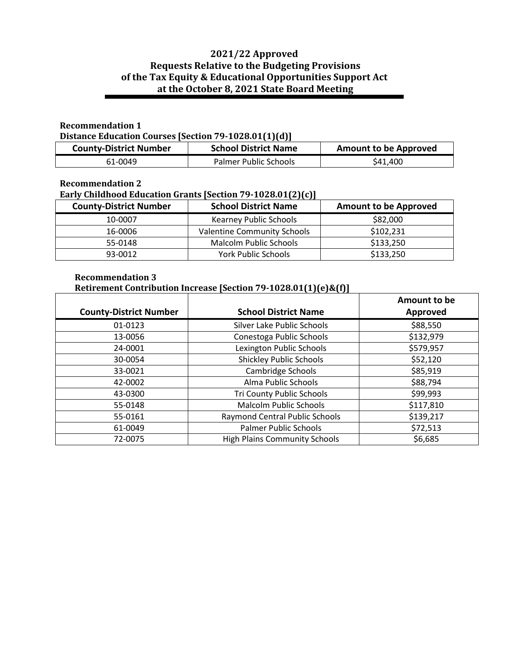# **2021/22 Approved Requests Relative to the Budgeting Provisions of the Tax Equity & Educational Opportunities Support Act at the October 8, 2021 State Board Meeting**

#### **Recommendation 1**

**Distance Education Courses [Section 79-1028.01(1)(d)]**

| <b>County-District Number</b> | <b>School District Name</b> | <b>Amount to be Approved</b> |
|-------------------------------|-----------------------------|------------------------------|
| 61-0049                       | Palmer Public Schools       | \$41,400                     |

### **Recommendation 2**

## **Early Childhood Education Grants [Section 79-1028.01(2)(c)]**

| <b>County-District Number</b> | <b>School District Name</b>        | <b>Amount to be Approved</b> |
|-------------------------------|------------------------------------|------------------------------|
| 10-0007                       | <b>Kearney Public Schools</b>      | \$82,000                     |
| 16-0006                       | <b>Valentine Community Schools</b> | \$102,231                    |
| 55-0148                       | Malcolm Public Schools             | \$133,250                    |
| 93-0012                       | <b>York Public Schools</b>         | \$133,250                    |

#### **Recommendation 3 Retirement Contribution Increase [Section 79-1028.01(1)(e)&(f)]**

|                               |                                      | Amount to be |
|-------------------------------|--------------------------------------|--------------|
| <b>County-District Number</b> | <b>School District Name</b>          | Approved     |
| 01-0123                       | Silver Lake Public Schools           | \$88,550     |
| 13-0056                       | Conestoga Public Schools             | \$132,979    |
| 24-0001                       | Lexington Public Schools             | \$579,957    |
| 30-0054                       | <b>Shickley Public Schools</b>       | \$52,120     |
| 33-0021                       | Cambridge Schools                    | \$85,919     |
| 42-0002                       | Alma Public Schools                  | \$88,794     |
| 43-0300                       | Tri County Public Schools            | \$99,993     |
| 55-0148                       | <b>Malcolm Public Schools</b>        | \$117,810    |
| 55-0161                       | Raymond Central Public Schools       | \$139,217    |
| 61-0049                       | <b>Palmer Public Schools</b>         | \$72,513     |
| 72-0075                       | <b>High Plains Community Schools</b> | \$6,685      |